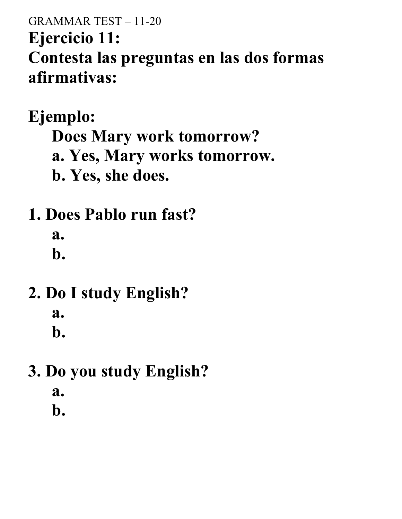#### GRAMMAR TEST – 11-20 **Ejercicio 11: Contesta las preguntas en las dos formas afirmativas:**

**Ejemplo: Does Mary work tomorrow?**

**a. Yes, Mary works tomorrow.**

- **b. Yes, she does.**
- **1. Does Pablo run fast?**

**a.**

**b.**

- **2. Do I study English? a. b.**
- **3. Do you study English? a. b.**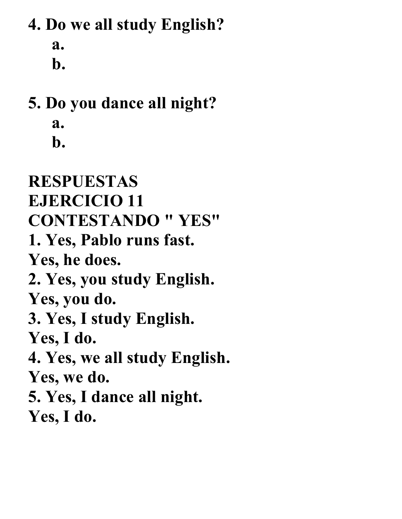## **4. Do we all study English? a. b.**

## **5. Do you dance all night? a. b.**

# **RESPUESTAS EJERCICIO 11 CONTESTANDO " YES" 1. Yes, Pablo runs fast. Yes, he does. 2. Yes, you study English. Yes, you do. 3. Yes, I study English. Yes, I do. 4. Yes, we all study English. Yes, we do. 5. Yes, I dance all night. Yes, I do.**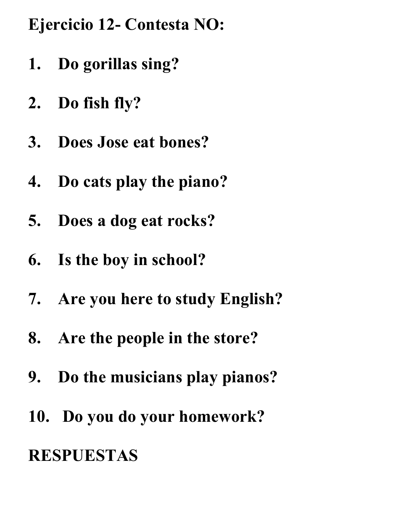### **Ejercicio 12- Contesta NO:**

- **1. Do gorillas sing?**
- **2. Do fish fly?**
- **3. Does Jose eat bones?**
- **4. Do cats play the piano?**
- **5. Does a dog eat rocks?**
- **6. Is the boy in school?**
- **7. Are you here to study English?**
- **8. Are the people in the store?**
- **9. Do the musicians play pianos?**
- **10. Do you do your homework?**

### **RESPUESTAS**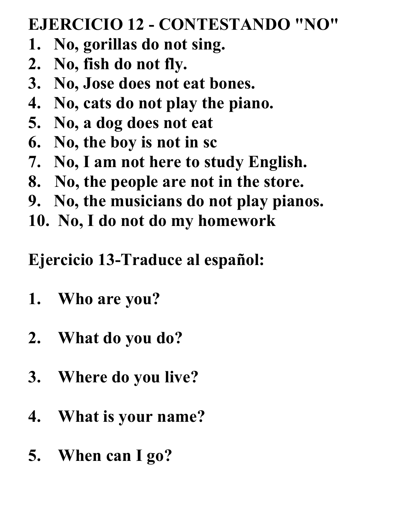#### **EJERCICIO 12 - CONTESTANDO "NO"**

- **1. No, gorillas do not sing.**
- **2. No, fish do not fly.**
- **3. No, Jose does not eat bones.**
- **4. No, cats do not play the piano.**
- **5. No, a dog does not eat**
- **6. No, the boy is not in sc**
- **7. No, I am not here to study English.**
- **8. No, the people are not in the store.**
- **9. No, the musicians do not play pianos.**
- **10. No, I do not do my homework**

**Ejercicio 13-Traduce al español:**

- **1. Who are you?**
- **2. What do you do?**
- **3. Where do you live?**
- **4. What is your name?**
- **5. When can I go?**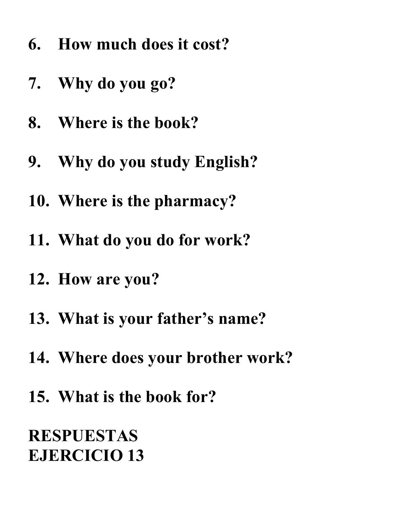- **6. How much does it cost?**
- **7. Why do you go?**
- **8. Where is the book?**
- **9. Why do you study English?**
- **10. Where is the pharmacy?**
- **11. What do you do for work?**
- **12. How are you?**
- **13. What is your father's name?**
- **14. Where does your brother work?**
- **15. What is the book for?**

**RESPUESTAS EJERCICIO 13**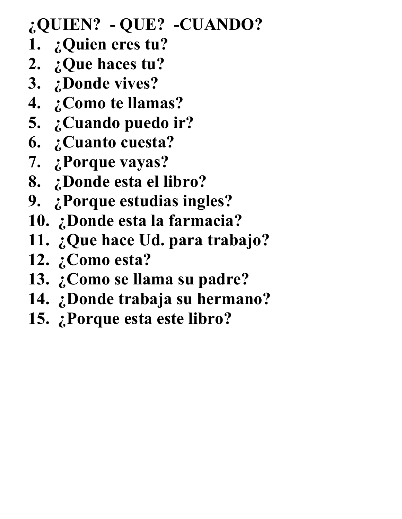#### **¿QUIEN? - QUE? -CUANDO?**

- **1. ¿Quien eres tu?**
- **2. ¿Que haces tu?**
- **3. ¿Donde vives?**
- **4. ¿Como te llamas?**
- **5. ¿Cuando puedo ir?**
- **6. ¿Cuanto cuesta?**
- **7. ¿Porque vayas?**
- **8. ¿Donde esta el libro?**
- **9. ¿Porque estudias ingles?**
- **10. ¿Donde esta la farmacia?**
- **11. ¿Que hace Ud. para trabajo?**
- **12. ¿Como esta?**
- **13. ¿Como se llama su padre?**
- **14. ¿Donde trabaja su hermano?**
- **15. ¿Porque esta este libro?**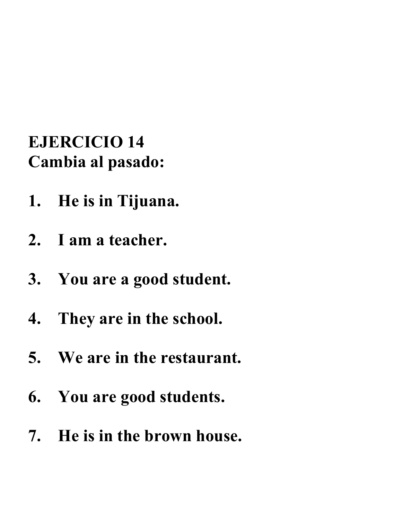#### **EJERCICIO 14 Cambia al pasado:**

- **1. He is in Tijuana.**
- **2. I am a teacher.**
- **3. You are a good student.**
- **4. They are in the school.**
- **5. We are in the restaurant.**
- **6. You are good students.**
- **7. He is in the brown house.**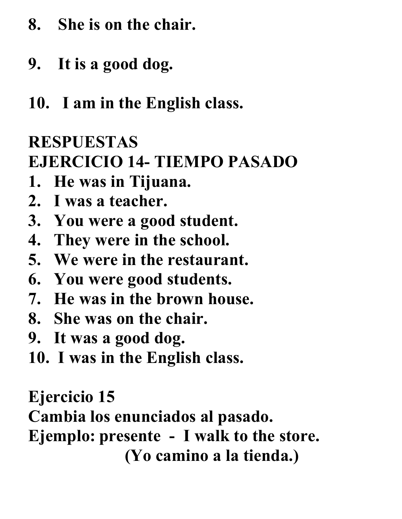- **8. She is on the chair.**
- **9. It is a good dog.**
- **10. I am in the English class.**

# **RESPUESTAS**

### **EJERCICIO 14- TIEMPO PASADO**

- **1. He was in Tijuana.**
- **2. I was a teacher.**
- **3. You were a good student.**
- **4. They were in the school.**
- **5. We were in the restaurant.**
- **6. You were good students.**
- **7. He was in the brown house.**
- **8. She was on the chair.**
- **9. It was a good dog.**
- **10. I was in the English class.**

**Ejercicio 15**

**Cambia los enunciados al pasado.**

**Ejemplo: presente - I walk to the store.**

 **(Yo camino a la tienda.)**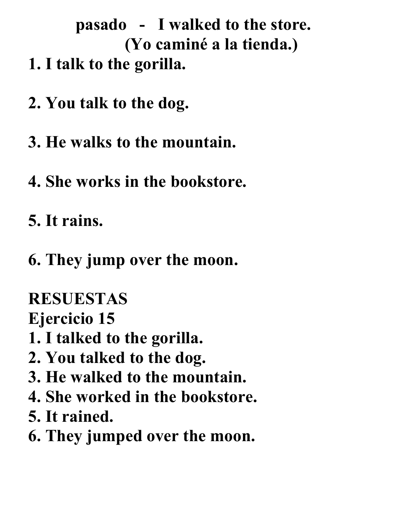**pasado - I walked to the store. (Yo caminé a la tienda.) 1. I talk to the gorilla.**

- **2. You talk to the dog.**
- **3. He walks to the mountain.**
- **4. She works in the bookstore.**
- **5. It rains.**
- **6. They jump over the moon.**

**RESUESTAS**

**Ejercicio 15**

- **1. I talked to the gorilla.**
- **2. You talked to the dog.**
- **3. He walked to the mountain.**
- **4. She worked in the bookstore.**
- **5. It rained.**
- **6. They jumped over the moon.**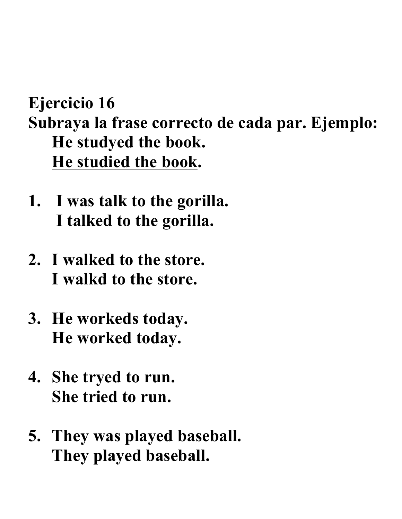## **Ejercicio 16 Subraya la frase correcto de cada par. Ejemplo: He studyed the book. He studied the book.**

- **1. I was talk to the gorilla. I talked to the gorilla.**
- **2. I walked to the store. I walkd to the store.**
- **3. He workeds today. He worked today.**
- **4. She tryed to run. She tried to run.**
- **5. They was played baseball. They played baseball.**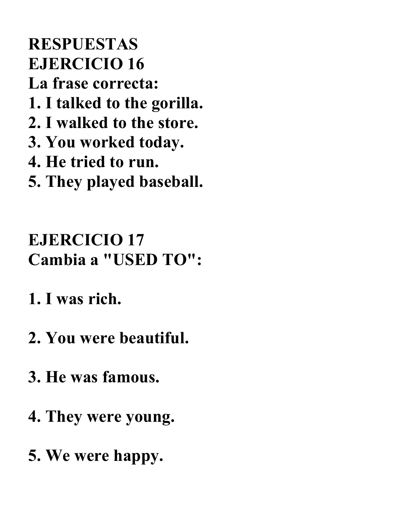### **RESPUESTAS EJERCICIO 16 La frase correcta: 1. I talked to the gorilla. 2. I walked to the store. 3. You worked today. 4. He tried to run. 5. They played baseball.**

# **EJERCICIO 17 Cambia a "USED TO":**

- **1. I was rich.**
- **2. You were beautiful.**
- **3. He was famous.**
- **4. They were young.**
- **5. We were happy.**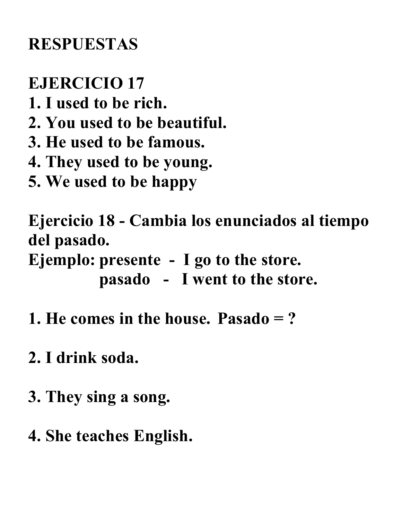## **RESPUESTAS**

### **EJERCICIO 17**

- **1. I used to be rich.**
- **2. You used to be beautiful.**
- **3. He used to be famous.**
- **4. They used to be young.**
- **5. We used to be happy**

**Ejercicio 18 - Cambia los enunciados al tiempo del pasado.**

**Ejemplo: presente - I go to the store. pasado - I went to the store.**

- **1. He comes in the house. Pasado = ?**
- **2. I drink soda.**
- **3. They sing a song.**
- **4. She teaches English.**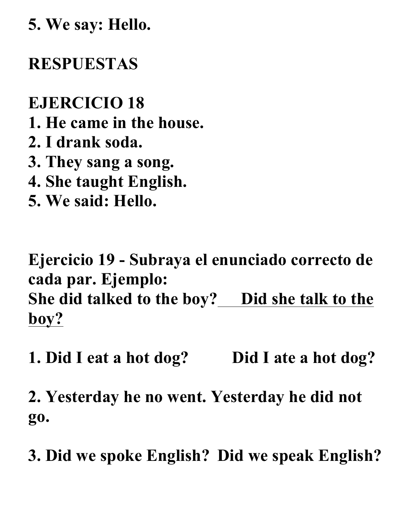**5. We say: Hello.**

#### **RESPUESTAS**

**EJERCICIO 18 1. He came in the house. 2. I drank soda. 3. They sang a song. 4. She taught English.**

**5. We said: Hello.**

**Ejercicio 19 - Subraya el enunciado correcto de cada par. Ejemplo: She did talked to the boy? Did she talk to the boy?**

**1. Did I eat a hot dog? Did I ate a hot dog?**

**2. Yesterday he no went. Yesterday he did not go.**

**3. Did we spoke English? Did we speak English?**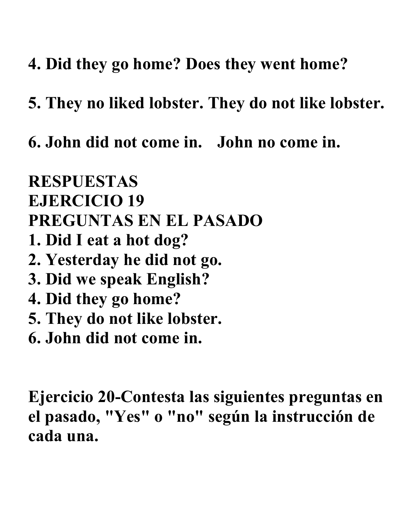- **4. Did they go home? Does they went home?**
- **5. They no liked lobster. They do not like lobster.**
- **6. John did not come in. John no come in.**

**RESPUESTAS EJERCICIO 19 PREGUNTAS EN EL PASADO 1. Did I eat a hot dog? 2. Yesterday he did not go. 3. Did we speak English? 4. Did they go home? 5. They do not like lobster. 6. John did not come in.**

**Ejercicio 20-Contesta las siguientes preguntas en el pasado, "Yes" o "no" según la instrucción de cada una.**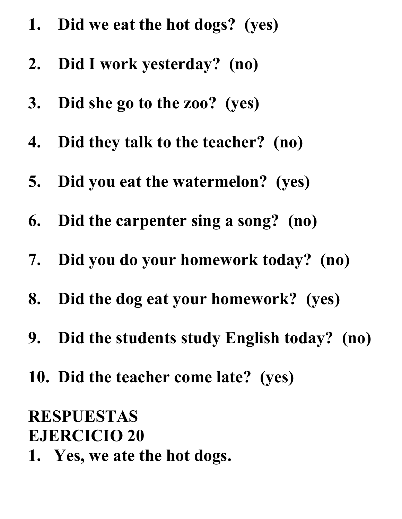- **1. Did we eat the hot dogs? (yes)**
- **2. Did I work yesterday? (no)**
- **3. Did she go to the zoo? (yes)**
- **4. Did they talk to the teacher? (no)**
- **5. Did you eat the watermelon? (yes)**
- **6. Did the carpenter sing a song? (no)**
- **7. Did you do your homework today? (no)**
- **8. Did the dog eat your homework? (yes)**
- **9. Did the students study English today? (no)**
- **10. Did the teacher come late? (yes)**

#### **RESPUESTAS EJERCICIO 20**

**1. Yes, we ate the hot dogs.**